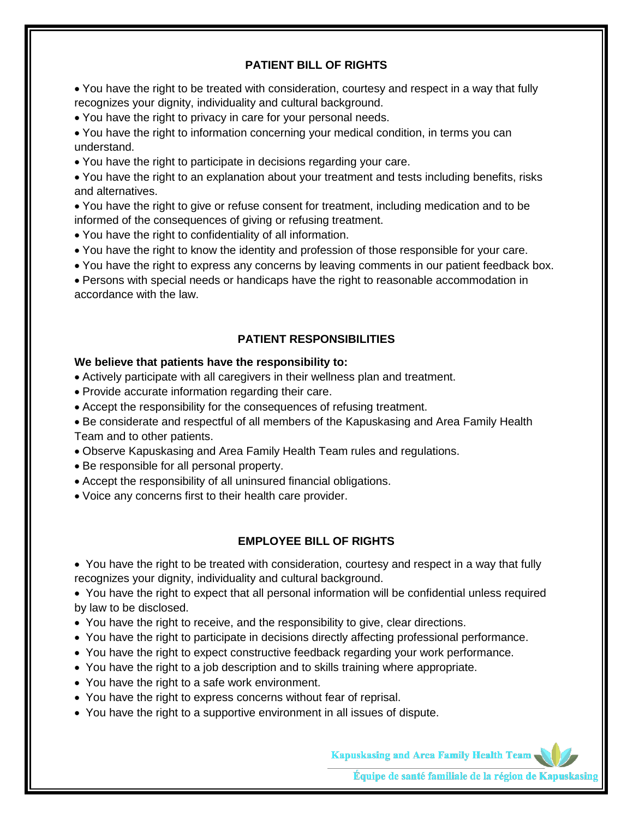## **PATIENT BILL OF RIGHTS**

• You have the right to be treated with consideration, courtesy and respect in a way that fully recognizes your dignity, individuality and cultural background.

• You have the right to privacy in care for your personal needs.

• You have the right to information concerning your medical condition, in terms you can understand.

• You have the right to participate in decisions regarding your care.

• You have the right to an explanation about your treatment and tests including benefits, risks and alternatives.

• You have the right to give or refuse consent for treatment, including medication and to be informed of the consequences of giving or refusing treatment.

- You have the right to confidentiality of all information.
- You have the right to know the identity and profession of those responsible for your care.
- You have the right to express any concerns by leaving comments in our patient feedback box.

• Persons with special needs or handicaps have the right to reasonable accommodation in accordance with the law.

# **PATIENT RESPONSIBILITIES**

### **We believe that patients have the responsibility to:**

• Actively participate with all caregivers in their wellness plan and treatment.

- Provide accurate information regarding their care.
- Accept the responsibility for the consequences of refusing treatment.

• Be considerate and respectful of all members of the Kapuskasing and Area Family Health Team and to other patients.

- Observe Kapuskasing and Area Family Health Team rules and regulations.
- Be responsible for all personal property.
- Accept the responsibility of all uninsured financial obligations.
- Voice any concerns first to their health care provider.

### **EMPLOYEE BILL OF RIGHTS**

• You have the right to be treated with consideration, courtesy and respect in a way that fully recognizes your dignity, individuality and cultural background.

• You have the right to expect that all personal information will be confidential unless required by law to be disclosed.

- You have the right to receive, and the responsibility to give, clear directions.
- You have the right to participate in decisions directly affecting professional performance.
- You have the right to expect constructive feedback regarding your work performance.
- You have the right to a job description and to skills training where appropriate.
- You have the right to a safe work environment.
- You have the right to express concerns without fear of reprisal.
- You have the right to a supportive environment in all issues of dispute.

**Kapuskasing and Area Family Health Team** 

Équipe de santé familiale de la région de Kapuskasin